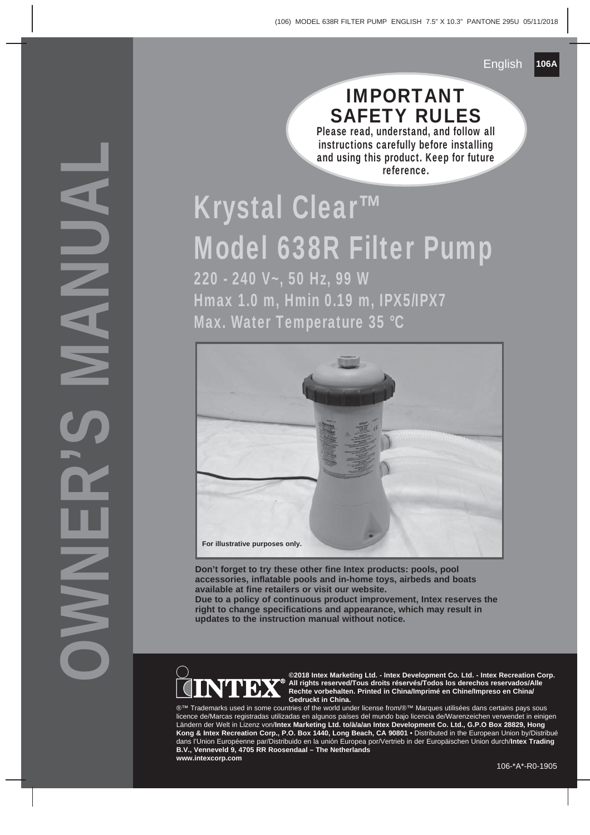### IMPORTANT SAFETY RULES

Please read, understand, and follow all instructions carefully before installing and using this product. Keep for future reference.

# Krystal Clear™ Model 638R Filter Pump

220 - 240 V~, 50 Hz, 99 W Hmax 1.0 m, Hmin 0.19 m, IPX5/IPX7 Max. Water Temperature 35 °C



**Don't forget to try these other fine Intex products: pools, pool accessories, inflatable pools and in-home toys, airbeds and boats available at fine retailers or visit our website.**

**Due to a policy of continuous product improvement, Intex reserves the right to change specifications and appearance, which may result in updates to the instruction manual without notice.**



OWNER'S MANUAL

**©2018 Intex Marketing Ltd. - Intex Development Co. Ltd. - Intex Recreation Corp. All rights reserved/Tous droits réservés/Todos los derechos reservados/Alle Rechte vorbehalten. Printed in China/Imprimé en Chine/Impreso en China/ Gedruckt in China.**

®™ Trademarks used in some countries of the world under license from/®™ Marques utilisées dans certains pays sous licence de/Marcas registradas utilizadas en algunos países del mundo bajo licencia de/Warenzeichen verwendet in einigen Ländern der Welt in Lizenz von/**Intex Marketing Ltd. to/à/a/an Intex Development Co. Ltd., G.P.O Box 28829, Hong Kong & Intex Recreation Corp., P.O. Box 1440, Long Beach, CA 90801** • Distributed in the European Union by/Distribué dans l'Union Européenne par/Distribuido en la unión Europea por/Vertrieb in der Europäischen Union durch/**Intex Trading B.V., Venneveld 9, 4705 RR Roosendaal – The Netherlands www.intexcorp.com**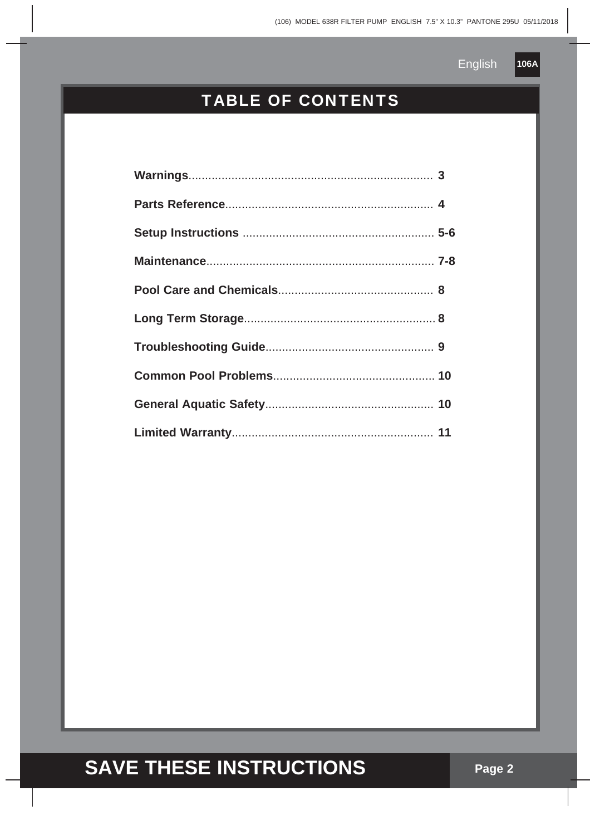

### TABLE OF CONTENTS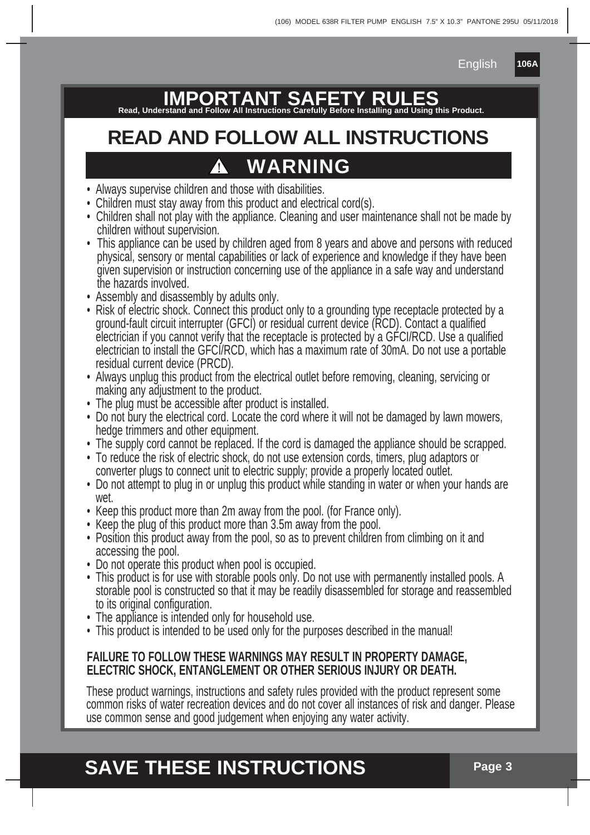**106A**

**IMPORTANT SAFETY RULES Read, Understand and Follow All Instructions Carefully Before Installing and Using this Product.**

# **READ AND FOLLOW ALL INSTRUCTIONS WARNING**

- Always supervise children and those with disabilities.
- Children must stay away from this product and electrical cord(s).
- Children shall not play with the appliance. Cleaning and user maintenance shall not be made by children without supervision.
- This appliance can be used by children aged from 8 years and above and persons with reduced physical, sensory or mental capabilities or lack of experience and knowledge if they have been given supervision or instruction concerning use of the appliance in a safe way and understand the hazards involved.
- Assembly and disassembly by adults only.
- Risk of electric shock. Connect this product only to a grounding type receptacle protected by a ground-fault circuit interrupter (GFCI) or residual current device (RCD). Contact a qualified electrician if you cannot verify that the receptacle is protected by a GFCI/RCD. Use a qualified electrician to install the GFCI/RCD, which has a maximum rate of 30mA. Do not use a portable residual current device (PRCD).
- Always unplug this product from the electrical outlet before removing, cleaning, servicing or making any adjustment to the product.
- The plug must be accessible after product is installed.
- Do not bury the electrical cord. Locate the cord where it will not be damaged by lawn mowers, hedge trimmers and other equipment.
- The supply cord cannot be replaced. If the cord is damaged the appliance should be scrapped.
- To reduce the risk of electric shock, do not use extension cords, timers, plug adaptors or converter plugs to connect unit to electric supply; provide a properly located outlet.
- Do not attempt to plug in or unplug this product while standing in water or when your hands are wet.
- Keep this product more than 2m away from the pool. (for France only).
- Keep the plug of this product more than 3.5m away from the pool.
- Position this product away from the pool, so as to prevent children from climbing on it and accessing the pool.
- Do not operate this product when pool is occupied.
- This product is for use with storable pools only. Do not use with permanently installed pools. A storable pool is constructed so that it may be readily disassembled for storage and reassembled to its original configuration.
- The appliance is intended only for household use.
- This product is intended to be used only for the purposes described in the manual!

#### **FAILURE TO FOLLOW THESE WARNINGS MAY RESULT IN PROPERTY DAMAGE, ELECTRIC SHOCK, ENTANGLEMENT OR OTHER SERIOUS INJURY OR DEATH.**

These product warnings, instructions and safety rules provided with the product represent some common risks of water recreation devices and do not cover all instances of risk and danger. Please use common sense and good judgement when enjoying any water activity.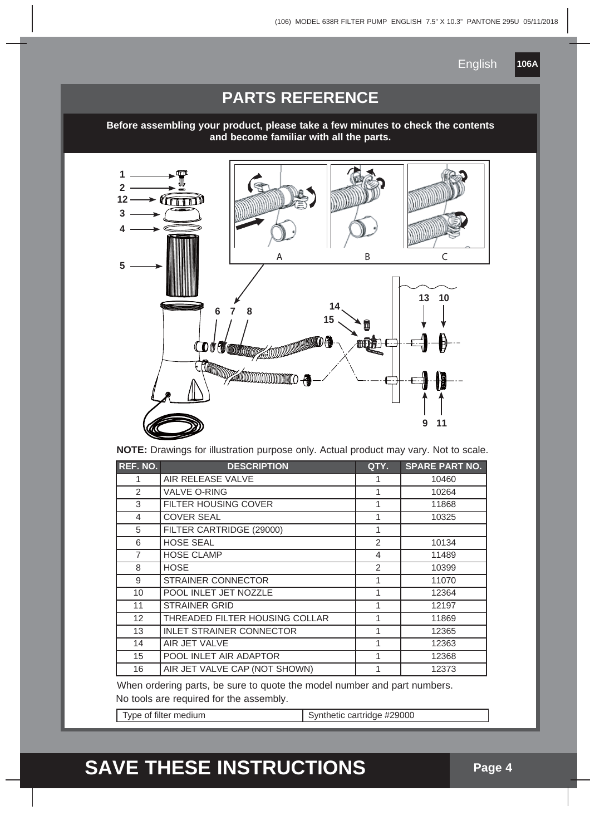**106A**

#### **PARTS REFERENCE**

**Before assembling your product, please take a few minutes to check the contents and become familiar with all the parts.**



**NOTE:** Drawings for illustration purpose only. Actual product may vary. Not to scale.

| REF. NO.       | <b>DESCRIPTION</b>              | QTY.          | <b>SPARE PART NO.</b> |
|----------------|---------------------------------|---------------|-----------------------|
| 1              | AIR RELEASE VALVE               |               | 10460                 |
| 2              | <b>VALVE O-RING</b>             | 1             | 10264                 |
| 3              | FILTER HOUSING COVER            | 1             | 11868                 |
| 4              | <b>COVER SEAL</b>               | 1             | 10325                 |
| 5              | FILTER CARTRIDGE (29000)        | 1             |                       |
| 6              | <b>HOSE SEAL</b>                | $\mathcal{P}$ | 10134                 |
| $\overline{7}$ | <b>HOSE CLAMP</b>               | 4             | 11489                 |
| 8              | <b>HOSE</b>                     | 2             | 10399                 |
| 9              | <b>STRAINER CONNECTOR</b>       | 1             | 11070                 |
| 10             | POOL INLET JET NOZZLE           | 1             | 12364                 |
| 11             | <b>STRAINER GRID</b>            | 1             | 12197                 |
| 12             | THREADED FILTER HOUSING COLLAR  | 1             | 11869                 |
| 13             | <b>INLET STRAINER CONNECTOR</b> | 1             | 12365                 |
| 14             | AIR JET VALVE                   | 1             | 12363                 |
| 15             | POOL INLET AIR ADAPTOR          | 1             | 12368                 |
| 16             | AIR JET VALVE CAP (NOT SHOWN)   |               | 12373                 |

When ordering parts, be sure to quote the model number and part numbers.

No tools are required for the assembly.

Type of filter medium Synthetic cartridge #29000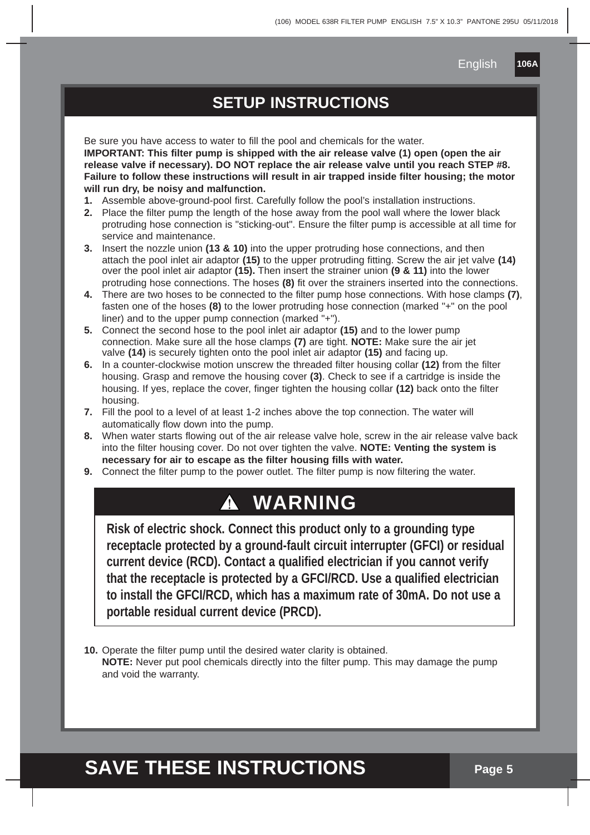**106A**

#### **SETUP INSTRUCTIONS**

Be sure you have access to water to fill the pool and chemicals for the water. **IMPORTANT: This filter pump is shipped with the air release valve (1) open (open the air release valve if necessary). DO NOT replace the air release valve until you reach STEP #8. Failure to follow these instructions will result in air trapped inside filter housing; the motor will run dry, be noisy and malfunction.**

- **1.** Assemble above-ground-pool first. Carefully follow the pool's installation instructions.
- **2.** Place the filter pump the length of the hose away from the pool wall where the lower black protruding hose connection is "sticking-out". Ensure the filter pump is accessible at all time for service and maintenance.
- **3.** Insert the nozzle union **(13 & 10)** into the upper protruding hose connections, and then attach the pool inlet air adaptor **(15)** to the upper protruding fitting. Screw the air jet valve **(14)** over the pool inlet air adaptor **(15).** Then insert the strainer union **(9 & 11)** into the lower protruding hose connections. The hoses **(8)** fit over the strainers inserted into the connections.
- **4.** There are two hoses to be connected to the filter pump hose connections. With hose clamps **(7)**, fasten one of the hoses **(8)** to the lower protruding hose connection (marked "+" on the pool liner) and to the upper pump connection (marked "+").
- **5.** Connect the second hose to the pool inlet air adaptor **(15)** and to the lower pump connection. Make sure all the hose clamps **(7)** are tight. **NOTE:** Make sure the air jet valve **(14)** is securely tighten onto the pool inlet air adaptor **(15)** and facing up.
- **6.** In a counter-clockwise motion unscrew the threaded filter housing collar **(12)** from the filter housing. Grasp and remove the housing cover **(3)**. Check to see if a cartridge is inside the housing. If yes, replace the cover, finger tighten the housing collar **(12)** back onto the filter housing.
- **7.** Fill the pool to a level of at least 1-2 inches above the top connection. The water will automatically flow down into the pump.
- **8.** When water starts flowing out of the air release valve hole, screw in the air release valve back into the filter housing cover. Do not over tighten the valve. **NOTE: Venting the system is necessary for air to escape as the filter housing fills with water.**
- **9.** Connect the filter pump to the power outlet. The filter pump is now filtering the water.

### **WARNING**

**Risk of electric shock. Connect this product only to a grounding type receptacle protected by a ground-fault circuit interrupter (GFCI) or residual current device (RCD). Contact a qualified electrician if you cannot verify that the receptacle is protected by a GFCI/RCD. Use a qualified electrician to install the GFCI/RCD, which has a maximum rate of 30mA. Do not use a portable residual current device (PRCD).**

**10.** Operate the filter pump until the desired water clarity is obtained.  **NOTE:** Never put pool chemicals directly into the filter pump. This may damage the pump and void the warranty.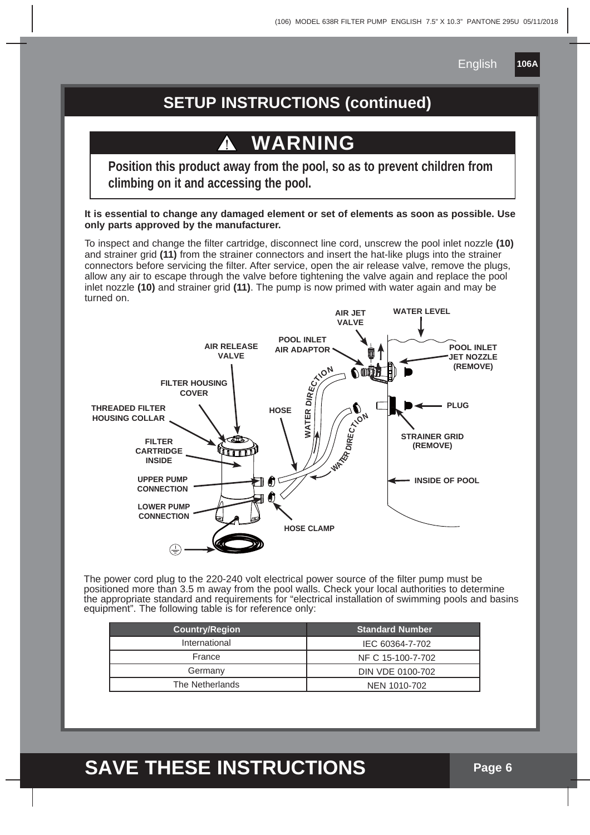**106A**

#### **SETUP INSTRUCTIONS (continued)**

### **WARNING**

**Position this product away from the pool, so as to prevent children from climbing on it and accessing the pool.**

**It is essential to change any damaged element or set of elements as soon as possible. Use only parts approved by the manufacturer.**

To inspect and change the filter cartridge, disconnect line cord, unscrew the pool inlet nozzle **(10)** and strainer grid **(11)** from the strainer connectors and insert the hat-like plugs into the strainer connectors before servicing the filter. After service, open the air release valve, remove the plugs, allow any air to escape through the valve before tightening the valve again and replace the pool inlet nozzle **(10)** and strainer grid **(11)**. The pump is now primed with water again and may be turned on.



The power cord plug to the 220-240 volt electrical power source of the filter pump must be positioned more than 3.5 m away from the pool walls. Check your local authorities to determine the appropriate standard and requirements for "electrical installation of swimming pools and basins equipment". The following table is for reference only:

| <b>Country/Region</b> | <b>Standard Number</b> |
|-----------------------|------------------------|
| International         | IEC 60364-7-702        |
| France                | NF C 15-100-7-702      |
| Germany               | DIN VDE 0100-702       |
| The Netherlands       | NEN 1010-702           |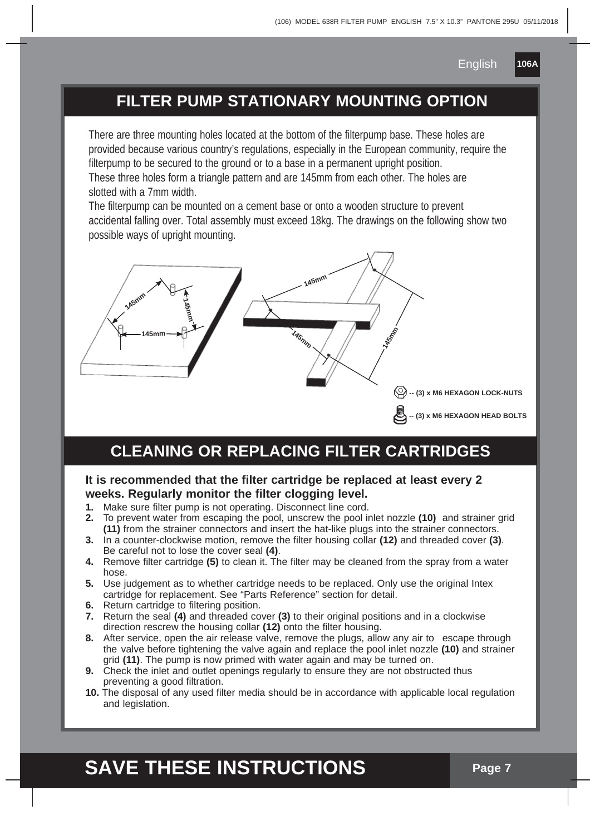**106A**

#### **FILTER PUMP STATIONARY MOUNTING OPTION**

There are three mounting holes located at the bottom of the filterpump base. These holes are provided because various country's regulations, especially in the European community, require the filterpump to be secured to the ground or to a base in a permanent upright position. These three holes form a triangle pattern and are 145mm from each other. The holes are slotted with a 7mm width.

The filterpump can be mounted on a cement base or onto a wooden structure to prevent accidental falling over. Total assembly must exceed 18kg. The drawings on the following show two possible ways of upright mounting.



#### **CLEANING OR REPLACING FILTER CARTRIDGES**

#### **It is recommended that the filter cartridge be replaced at least every 2 weeks. Regularly monitor the filter clogging level.**

- **1.** Make sure filter pump is not operating. Disconnect line cord.
- **2.** To prevent water from escaping the pool, unscrew the pool inlet nozzle **(10)** and strainer grid **(11)** from the strainer connectors and insert the hat-like plugs into the strainer connectors.
- **3.** In a counter-clockwise motion, remove the filter housing collar **(12)** and threaded cover **(3)**. Be careful not to lose the cover seal **(4)**.
- **4.** Remove filter cartridge **(5)** to clean it. The filter may be cleaned from the spray from a water hose.
- **5.** Use judgement as to whether cartridge needs to be replaced. Only use the original Intex cartridge for replacement. See "Parts Reference" section for detail.
- **6.** Return cartridge to filtering position.
- **7.** Return the seal **(4)** and threaded cover **(3)** to their original positions and in a clockwise direction rescrew the housing collar **(12)** onto the filter housing.
- **8.** After service, open the air release valve, remove the plugs, allow any air to escape through the valve before tightening the valve again and replace the pool inlet nozzle **(10)** and strainer grid **(11)**. The pump is now primed with water again and may be turned on.
- **9.** Check the inlet and outlet openings regularly to ensure they are not obstructed thus preventing a good filtration.
- **10.** The disposal of any used filter media should be in accordance with applicable local regulation and legislation.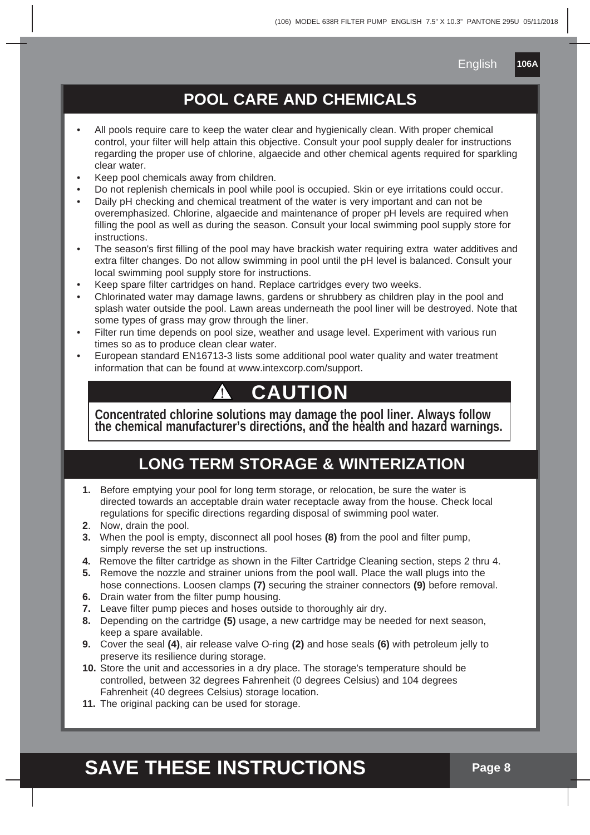#### **POOL CARE AND CHEMICALS**

- All pools require care to keep the water clear and hygienically clean. With proper chemical control, your filter will help attain this objective. Consult your pool supply dealer for instructions regarding the proper use of chlorine, algaecide and other chemical agents required for sparkling clear water.
- Keep pool chemicals away from children.
- Do not replenish chemicals in pool while pool is occupied. Skin or eye irritations could occur.
- Daily pH checking and chemical treatment of the water is very important and can not be overemphasized. Chlorine, algaecide and maintenance of proper pH levels are required when filling the pool as well as during the season. Consult your local swimming pool supply store for instructions.
- The season's first filling of the pool may have brackish water requiring extra water additives and extra filter changes. Do not allow swimming in pool until the pH level is balanced. Consult your local swimming pool supply store for instructions.
- Keep spare filter cartridges on hand. Replace cartridges every two weeks.
- Chlorinated water may damage lawns, gardens or shrubbery as children play in the pool and splash water outside the pool. Lawn areas underneath the pool liner will be destroyed. Note that some types of grass may grow through the liner.
- Filter run time depends on pool size, weather and usage level. Experiment with various run times so as to produce clean clear water.
- European standard EN16713-3 lists some additional pool water quality and water treatment information that can be found at www.intexcorp.com/support.

### **CAUTION**

**Concentrated chlorine solutions may damage the pool liner. Always follow the chemical manufacturer's directions, and the health and hazard warnings.**

#### **LONG TERM STORAGE & WINTERIZATION**

- **1.** Before emptying your pool for long term storage, or relocation, be sure the water is directed towards an acceptable drain water receptacle away from the house. Check local regulations for specific directions regarding disposal of swimming pool water.
- **2**. Now, drain the pool.
- **3.** When the pool is empty, disconnect all pool hoses **(8)** from the pool and filter pump, simply reverse the set up instructions.
- **4.** Remove the filter cartridge as shown in the Filter Cartridge Cleaning section, steps 2 thru 4.
- **5.** Remove the nozzle and strainer unions from the pool wall. Place the wall plugs into the hose connections. Loosen clamps **(7)** securing the strainer connectors **(9)** before removal.
- **6.** Drain water from the filter pump housing.
- **7.** Leave filter pump pieces and hoses outside to thoroughly air dry.
- **8.** Depending on the cartridge **(5)** usage, a new cartridge may be needed for next season, keep a spare available.
- **9.** Cover the seal **(4)**, air release valve O-ring **(2)** and hose seals **(6)** with petroleum jelly to preserve its resilience during storage.
- **10.** Store the unit and accessories in a dry place. The storage's temperature should be controlled, between 32 degrees Fahrenheit (0 degrees Celsius) and 104 degrees Fahrenheit (40 degrees Celsius) storage location.
- 11. The original packing can be used for storage.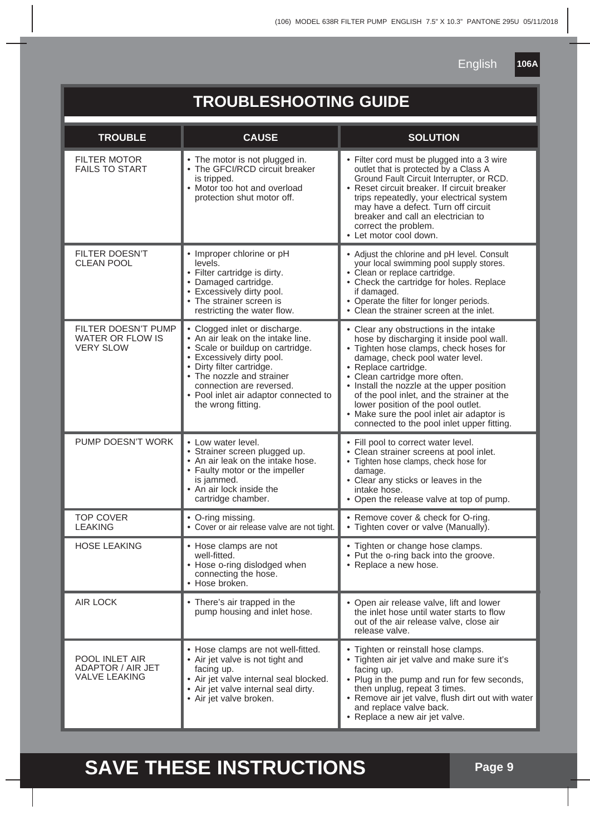| 106A |  |
|------|--|
|      |  |

#### **TROUBLESHOOTING GUIDE** FILTER MOTOR FAILS TO START FILTER DOESN'T CLEAN POOL FILTER DOESN'T PUMP WATER OR FLOW IS VERY SLOW PUMP DOESN'T WORK TOP COVER LEAKING HOSE LEAKING AIR LOCK POOL INLET AIR ADAPTOR / AIR JET VALVE LEAKING The motor is not plugged in. The GFCI/RCD circuit breaker is tripped. • Motor too hot and overload protection shut motor off. • Improper chlorine or pH levels. Filter cartridge is dirty. Damaged cartridge. • Excessively dirty pool. • The strainer screen is restricting the water flow. • Clogged inlet or discharge. • An air leak on the intake line. Scale or buildup on cartridge. • Excessively dirty pool. • Dirty filter cartridge. The nozzle and strainer connection are reversed. • Pool inlet air adaptor connected to the wrong fitting. • Low water level. Strainer screen plugged up. • An air leak on the intake hose. • Faulty motor or the impeller is jammed. • An air lock inside the cartridge chamber. • O-ring missing. • Cover or air release valve are not tight. • Hose clamps are not well-fitted. • Hose o-ring dislodged when connecting the hose. • Hose broken. • There's air trapped in the pump housing and inlet hose. • Hose clamps are not well-fitted. Air jet valve is not tight and facing up. Air jet valve internal seal blocked. • Air jet valve internal seal dirty. • Air jet valve broken.  **TROUBLE CAUSE SOLUTION** • Filter cord must be plugged into a 3 wire outlet that is protected by a Class A Ground Fault Circuit Interrupter, or RCD. • Reset circuit breaker. If circuit breaker trips repeatedly, your electrical system may have a defect. Turn off circuit breaker and call an electrician to correct the problem. Let motor cool down. • Adjust the chlorine and pH level. Consult your local swimming pool supply stores. • Clean or replace cartridge. • Check the cartridge for holes. Replace if damaged. • Operate the filter for longer periods. • Clean the strainer screen at the inlet. • Clear any obstructions in the intake hose by discharging it inside pool wall. • Tighten hose clamps, check hoses for damage, check pool water level. Replace cartridge. Clean cartridge more often. • Install the nozzle at the upper position of the pool inlet, and the strainer at the lower position of the pool outlet. Make sure the pool inlet air adaptor is connected to the pool inlet upper fitting. Fill pool to correct water level. • Clean strainer screens at pool inlet. • Tighten hose clamps, check hose for damage. • Clear any sticks or leaves in the intake hose. • Open the release valve at top of pump. Remove cover & check for O-ring. Tighten cover or valve (Manually). Tighten or change hose clamps. • Put the o-ring back into the groove. • Replace a new hose. • Open air release valve, lift and lower the inlet hose until water starts to flow out of the air release valve, close air release valve. • Tighten or reinstall hose clamps. • Tighten air jet valve and make sure it's facing up. Plug in the pump and run for few seconds, then unplug, repeat 3 times. Remove air jet valve, flush dirt out with water and replace valve back. Replace a new air jet valve.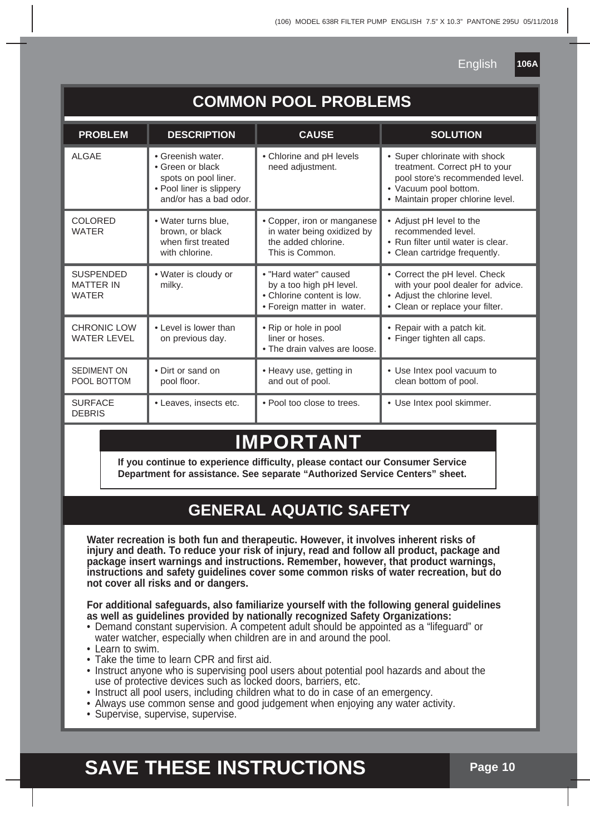**106A**

|  | <b>COMMON POOL PROBLEMS</b> |
|--|-----------------------------|
|  |                             |

| <b>PROBLEM</b>                                       | <b>DESCRIPTION</b>                                                                                                 | <b>CAUSE</b>                                                                                                 | <b>SOLUTION</b>                                                                                                                                                 |
|------------------------------------------------------|--------------------------------------------------------------------------------------------------------------------|--------------------------------------------------------------------------------------------------------------|-----------------------------------------------------------------------------------------------------------------------------------------------------------------|
| ALGAE                                                | • Greenish water<br>• Green or black<br>spots on pool liner.<br>• Pool liner is slippery<br>and/or has a bad odor. | • Chlorine and pH levels<br>need adjustment.                                                                 | • Super chlorinate with shock<br>treatment. Correct pH to your<br>pool store's recommended level.<br>• Vacuum pool bottom.<br>· Maintain proper chlorine level. |
| <b>COLORED</b><br><b>WATER</b>                       | • Water turns blue.<br>brown, or black<br>when first treated<br>with chlorine.                                     | • Copper, iron or manganese<br>in water being oxidized by<br>the added chlorine.<br>This is Common.          | • Adjust pH level to the<br>recommended level.<br>• Run filter until water is clear.<br>• Clean cartridge frequently.                                           |
| <b>SUSPENDED</b><br><b>MATTER IN</b><br><b>WATER</b> | • Water is cloudy or<br>milky.                                                                                     | • "Hard water" caused<br>by a too high pH level.<br>• Chlorine content is low.<br>• Foreign matter in water. | • Correct the pH level. Check<br>with your pool dealer for advice.<br>• Adjust the chlorine level.<br>• Clean or replace your filter.                           |
| CHRONIC LOW<br><b>WATER LEVEL</b>                    | • Level is lower than<br>on previous day.                                                                          | • Rip or hole in pool<br>liner or hoses.<br>• The drain valves are loose.                                    | • Repair with a patch kit.<br>• Finger tighten all caps.                                                                                                        |
| <b>SEDIMENT ON</b><br>POOL BOTTOM                    | • Dirt or sand on<br>pool floor.                                                                                   | • Heavy use, getting in<br>and out of pool.                                                                  | • Use Intex pool vacuum to<br>clean bottom of pool.                                                                                                             |
| <b>SURFACE</b><br><b>DEBRIS</b>                      | • Leaves, insects etc.                                                                                             | • Pool too close to trees.                                                                                   | • Use Intex pool skimmer.                                                                                                                                       |

### **MPORTAN**

**If you continue to experience difficulty, please contact our Consumer Service Department for assistance. See separate "Authorized Service Centers" sheet.**

### **GENERAL AQUATIC SAFETY**

**Water recreation is both fun and therapeutic. However, it involves inherent risks of injury and death. To reduce your risk of injury, read and follow all product, package and package insert warnings and instructions. Remember, however, that product warnings, instructions and safety guidelines cover some common risks of water recreation, but do not cover all risks and or dangers.**

**For additional safeguards, also familiarize yourself with the following general guidelines as well as guidelines provided by nationally recognized Safety Organizations:**

- Demand constant supervision. A competent adult should be appointed as a "lifeguard" or water watcher, especially when children are in and around the pool.
- Learn to swim.
- Take the time to learn CPR and first aid.
- Instruct anyone who is supervising pool users about potential pool hazards and about the use of protective devices such as locked doors, barriers, etc.
- Instruct all pool users, including children what to do in case of an emergency.
- Always use common sense and good judgement when enjoying any water activity.
- Supervise, supervise, supervise.